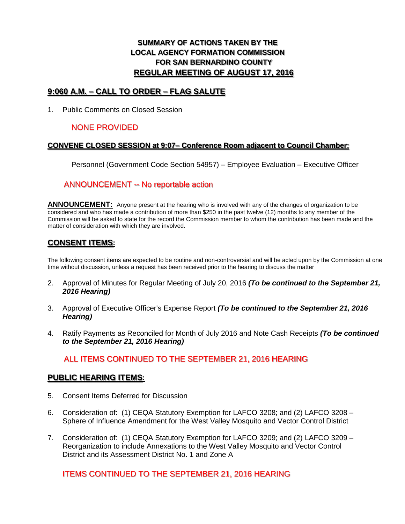# **SUMMARY OF ACTIONS TAKEN BY THE LOCAL AGENCY FORMATION COMMISSION FOR SAN BERNARDINO COUNTY REGULAR MEETING OF AUGUST 17, 2016**

### **9:060 A.M. – CALL TO ORDER – FLAG SALUTE**

1. Public Comments on Closed Session

# NONE PROVIDED

#### **CONVENE CLOSED SESSION at 9:07– Conference Room adjacent to Council Chamber:**

Personnel (Government Code Section 54957) – Employee Evaluation – Executive Officer

## ANNOUNCEMENT -- No reportable action

**ANNOUNCEMENT:** Anyone present at the hearing who is involved with any of the changes of organization to be considered and who has made a contribution of more than \$250 in the past twelve (12) months to any member of the Commission will be asked to state for the record the Commission member to whom the contribution has been made and the matter of consideration with which they are involved.

# **CONSENT ITEMS:**

The following consent items are expected to be routine and non-controversial and will be acted upon by the Commission at one time without discussion, unless a request has been received prior to the hearing to discuss the matter

- 2. Approval of Minutes for Regular Meeting of July 20, 2016 *(To be continued to the September 21, 2016 Hearing)*
- 3. Approval of Executive Officer's Expense Report *(To be continued to the September 21, 2016 Hearing)*
- 4. Ratify Payments as Reconciled for Month of July 2016 and Note Cash Receipts *(To be continued to the September 21, 2016 Hearing)*

#### ALL ITEMS CONTINUED TO THE SEPTEMBER 21, 2016 HEARING

#### **PUBLIC HEARING ITEMS:**

- 5. Consent Items Deferred for Discussion
- 6. Consideration of: (1) CEQA Statutory Exemption for LAFCO 3208; and (2) LAFCO 3208 Sphere of Influence Amendment for the West Valley Mosquito and Vector Control District
- 7. Consideration of: (1) CEQA Statutory Exemption for LAFCO 3209; and (2) LAFCO 3209 Reorganization to include Annexations to the West Valley Mosquito and Vector Control District and its Assessment District No. 1 and Zone A

#### ITEMS CONTINUED TO THE SEPTEMBER 21, 2016 HEARING